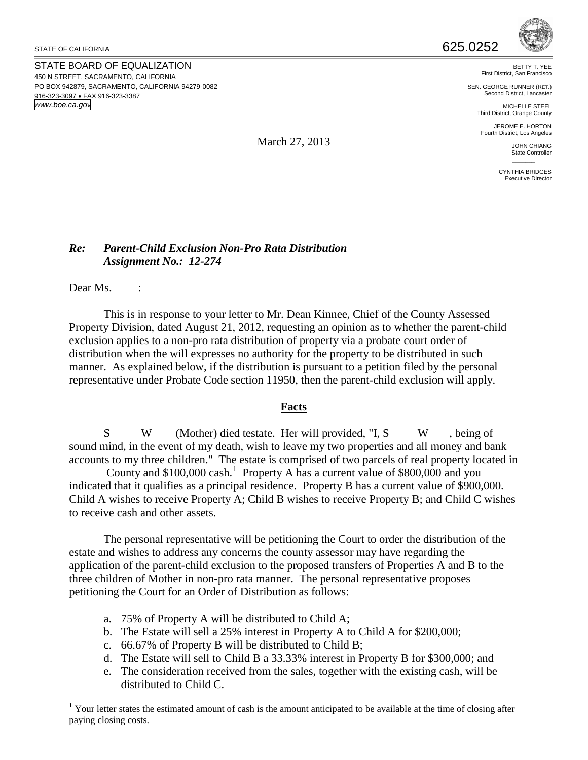STATE OF CALIFORNIA

STATE BOARD OF EQUALIZATION 450 N STREET, SACRAMENTO, CALIFORNIA PO BOX 942879, SACRAMENTO, CALIFORNIA 94279-0082 916-323-3097 • FAX 916-323-3387 *www.boe.ca.gov*



BETTY T. YEE First District, San Francisco

SEN. GEORGE RUNNER (RET.) Second District, Lancaster

MICHELLE STEEL Third District, Orange County

JEROME E. HORTON Fourth District, Los Angeles

> JOHN CHIANG State Controller

 $\mathcal{L}$ CYNTHIA BRIDGES Executive Director

## March 27, 2013

## *Re: Parent-Child Exclusion Non-Pro Rata Distribution Assignment No.: 12-274*

Dear Ms. :

 This is in response to your letter to Mr. Dean Kinnee, Chief of the County Assessed Property Division, dated August 21, 2012, requesting an opinion as to whether the parent-child exclusion applies to a non-pro rata distribution of property via a probate court order of distribution when the will expresses no authority for the property to be distributed in such manner. As explained below, if the distribution is pursuant to a petition filed by the personal representative under Probate Code section 11950, then the parent-child exclusion will apply.

## **Facts**

S W (Mother) died testate. Her will provided, "I, S W, being of sound mind, in the event of my death, wish to leave my two properties and all money and bank accounts to my three children." The estate is comprised of two parcels of real property located in

County and \$[1](#page-0-0)00,000 cash.<sup>1</sup> Property A has a current value of \$800,000 and you indicated that it qualifies as a principal residence. Property B has a current value of \$900,000. Child A wishes to receive Property A; Child B wishes to receive Property B; and Child C wishes to receive cash and other assets.

The personal representative will be petitioning the Court to order the distribution of the estate and wishes to address any concerns the county assessor may have regarding the application of the parent-child exclusion to the proposed transfers of Properties A and B to the three children of Mother in non-pro rata manner. The personal representative proposes petitioning the Court for an Order of Distribution as follows:

- a. 75% of Property A will be distributed to Child A;
- b. The Estate will sell a 25% interest in Property A to Child A for \$200,000;
- c. 66.67% of Property B will be distributed to Child B;
- d. The Estate will sell to Child B a 33.33% interest in Property B for \$300,000; and
- e. The consideration received from the sales, together with the existing cash, will be distributed to Child C.

<span id="page-0-0"></span> $\overline{a}$ <sup>1</sup> Your letter states the estimated amount of cash is the amount anticipated to be available at the time of closing after paying closing costs.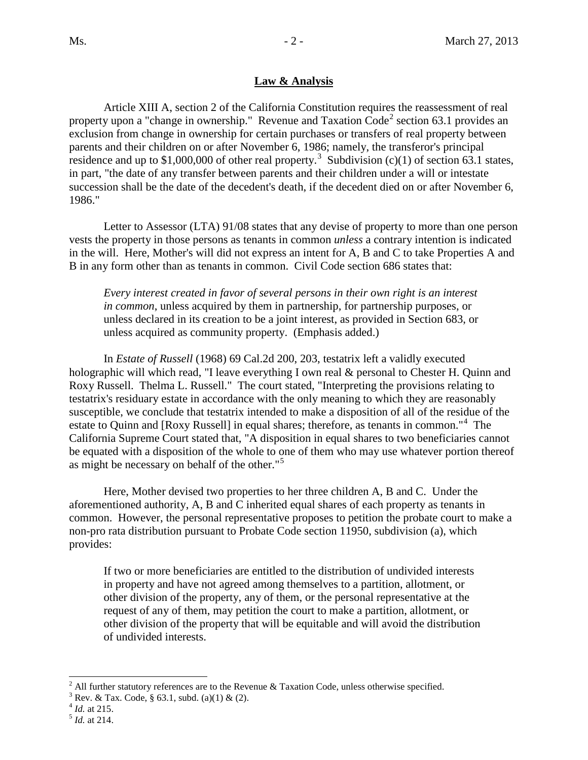## **Law & Analysis**

Article XIII A, section 2 of the California Constitution requires the reassessment of real property upon a "change in ownership." Revenue and Taxation  $\text{Code}^2$  $\text{Code}^2$  section 63.1 provides an exclusion from change in ownership for certain purchases or transfers of real property between parents and their children on or after November 6, 1986; namely, the transferor's principal residence and up to \$1,000,000 of other real property.<sup>[3](#page-1-1)</sup> Subdivision (c)(1) of section 63.1 states, in part, "the date of any transfer between parents and their children under a will or intestate succession shall be the date of the decedent's death, if the decedent died on or after November 6, 1986."

Letter to Assessor (LTA) 91/08 states that any devise of property to more than one person vests the property in those persons as tenants in common *unless* a contrary intention is indicated in the will. Here, Mother's will did not express an intent for A, B and C to take Properties A and B in any form other than as tenants in common. Civil Code section 686 states that:

*Every interest created in favor of several persons in their own right is an interest in common*, unless acquired by them in partnership, for partnership purposes, or unless declared in its creation to be a joint interest, as provided in Section 683, or unless acquired as community property. (Emphasis added.)

In *Estate of Russell* (1968) 69 Cal.2d 200, 203, testatrix left a validly executed holographic will which read, "I leave everything I own real & personal to Chester H. Quinn and Roxy Russell. Thelma L. Russell." The court stated, "Interpreting the provisions relating to testatrix's residuary estate in accordance with the only meaning to which they are reasonably susceptible, we conclude that testatrix intended to make a disposition of all of the residue of the estate to Quinn and [Roxy Russell] in equal shares; therefore, as tenants in common."<sup>[4](#page-1-2)</sup> The California Supreme Court stated that, "A disposition in equal shares to two beneficiaries cannot be equated with a disposition of the whole to one of them who may use whatever portion thereof as might be necessary on behalf of the other."[5](#page-1-3)

Here, Mother devised two properties to her three children A, B and C. Under the aforementioned authority, A, B and C inherited equal shares of each property as tenants in common. However, the personal representative proposes to petition the probate court to make a non-pro rata distribution pursuant to Probate Code section 11950, subdivision (a), which provides:

If two or more beneficiaries are entitled to the distribution of undivided interests in property and have not agreed among themselves to a partition, allotment, or other division of the property, any of them, or the personal representative at the request of any of them, may petition the court to make a partition, allotment, or other division of the property that will be equitable and will avoid the distribution of undivided interests.

 $\overline{a}$ 

<span id="page-1-1"></span><span id="page-1-0"></span><sup>&</sup>lt;sup>2</sup> All further statutory references are to the Revenue & Taxation Code, unless otherwise specified. <sup>3</sup> Rev. & Tax. Code, § 63.1, subd. (a)(1) & (2).  $^{4}$  *Id.* at 215. <sup>5</sup> *Id.* at 214.

<span id="page-1-2"></span>

<span id="page-1-3"></span>